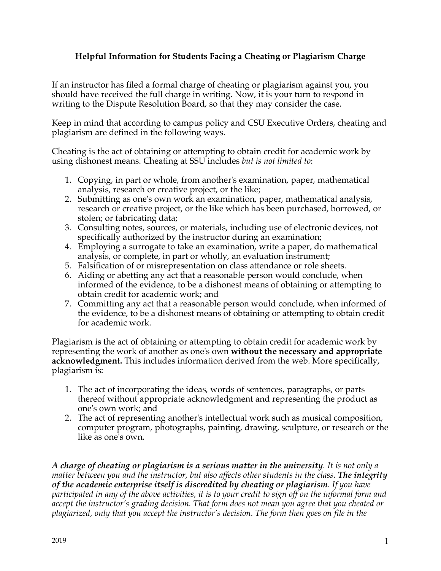## **Helpful Information for Students Facing a Cheating or Plagiarism Charge**

If an instructor has filed a formal charge of cheating or plagiarism against you, you should have received the full charge in writing. Now, it is your turn to respond in writing to the Dispute Resolution Board, so that they may consider the case.

Keep in mind that according to campus policy and CSU Executive Orders, cheating and plagiarism are defined in the following ways.

Cheating is the act of obtaining or attempting to obtain credit for academic work by using dishonest means. Cheating at SSU includes *but is not limited to*:

- 1. Copying, in part or whole, from another's examination, paper, mathematical analysis, research or creative project, or the like;
- 2. Submitting as one's own work an examination, paper, mathematical analysis, research or creative project, or the like which has been purchased, borrowed, or stolen; or fabricating data;
- 3. Consulting notes, sources, or materials, including use of electronic devices, not specifically authorized by the instructor during an examination;
- 4. Employing a surrogate to take an examination, write a paper, do mathematical analysis, or complete, in part or wholly, an evaluation instrument;
- 5. Falsification of or misrepresentation on class attendance or role sheets.
- 6. Aiding or abetting any act that a reasonable person would conclude, when informed of the evidence, to be a dishonest means of obtaining or attempting to obtain credit for academic work; and
- 7. Committing any act that a reasonable person would conclude, when informed of the evidence, to be a dishonest means of obtaining or attempting to obtain credit for academic work.

Plagiarism is the act of obtaining or attempting to obtain credit for academic work by representing the work of another as one's own **without the necessary and appropriate acknowledgment.** This includes information derived from the web. More specifically, plagiarism is:

- 1. The act of incorporating the ideas, words of sentences, paragraphs, or parts thereof without appropriate acknowledgment and representing the product as one's own work; and
- 2. The act of representing another's intellectual work such as musical composition, computer program, photographs, painting, drawing, sculpture, or research or the like as one's own.

*A charge of cheating or plagiarism is a serious matter in the university. It is not only a matter between you and the instructor, but also affects other students in the class. The integrity of the academic enterprise itself is discredited by cheating or plagiarism. If you have participated in any of the above activities, it is to your credit to sign off on the informal form and accept the instructor's grading decision. That form does not mean you agree that you cheated or plagiarized, only that you accept the instructor's decision. The form then goes on file in the*